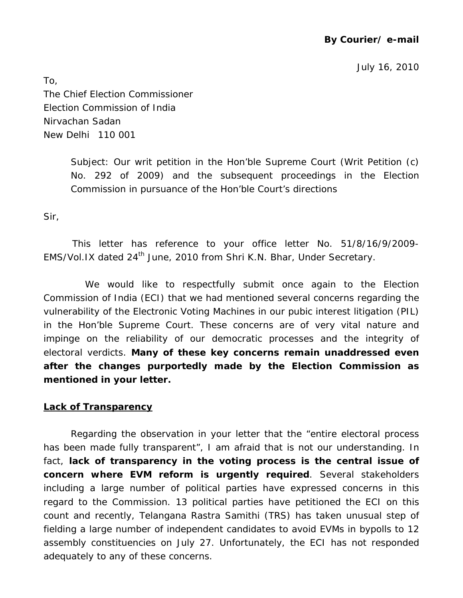# **By Courier/ e-mail**

July 16, 2010

To, The Chief Election Commissioner Election Commission of India Nirvachan Sadan New Delhi 110 001

> Subject: Our writ petition in the Hon'ble Supreme Court (Writ Petition (c) No. 292 of 2009) and the subsequent proceedings in the Election Commission in pursuance of the Hon'ble Court's directions

Sir,

 This letter has reference to your office letter No. 51/8/16/9/2009- EMS/Vol.IX dated 24<sup>th</sup> June, 2010 from Shri K.N. Bhar, Under Secretary.

 We would like to respectfully submit once again to the Election Commission of India (ECI) that we had mentioned several concerns regarding the vulnerability of the Electronic Voting Machines in our pubic interest litigation (PIL) in the Hon'ble Supreme Court. These concerns are of very vital nature and impinge on the reliability of our democratic processes and the integrity of electoral verdicts. **Many of these key concerns remain unaddressed even after the changes purportedly made by the Election Commission as mentioned in your letter.**

#### **Lack of Transparency**

Regarding the observation in your letter that the "entire electoral process has been made fully transparent", I am afraid that is not our understanding. In fact, **lack of transparency in the voting process is the central issue of concern where EVM reform is urgently required**. Several stakeholders including a large number of political parties have expressed concerns in this regard to the Commission. 13 political parties have petitioned the ECI on this count and recently, Telangana Rastra Samithi (TRS) has taken unusual step of fielding a large number of independent candidates to avoid EVMs in bypolls to 12 assembly constituencies on July 27. Unfortunately, the ECI has not responded adequately to any of these concerns.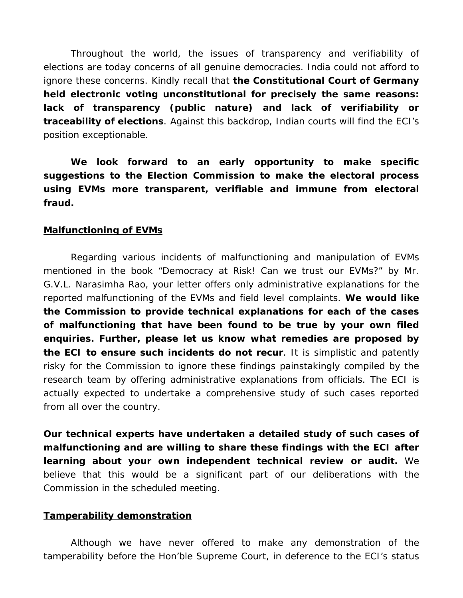Throughout the world, the issues of transparency and verifiability of elections are today concerns of all genuine democracies. India could not afford to ignore these concerns. Kindly recall that **the Constitutional Court of Germany held electronic voting unconstitutional for precisely the same reasons: lack of transparency (public nature) and lack of verifiability or traceability of elections**. Against this backdrop, Indian courts will find the ECI's position exceptionable.

**We look forward to an early opportunity to make specific suggestions to the Election Commission to make the electoral process using EVMs more transparent, verifiable and immune from electoral fraud.** 

# **Malfunctioning of EVMs**

 Regarding various incidents of malfunctioning and manipulation of EVMs mentioned in the book "Democracy at Risk! Can we trust our EVMs?" by Mr. G.V.L. Narasimha Rao, your letter offers only administrative explanations for the reported malfunctioning of the EVMs and field level complaints. **We would like the Commission to provide technical explanations for each of the cases of malfunctioning that have been found to be true by your own filed enquiries. Further, please let us know what remedies are proposed by the ECI to ensure such incidents do not recur**. It is simplistic and patently risky for the Commission to ignore these findings painstakingly compiled by the research team by offering administrative explanations from officials. The ECI is actually expected to undertake a comprehensive study of such cases reported from all over the country.

**Our technical experts have undertaken a detailed study of such cases of malfunctioning and are willing to share these findings with the ECI after learning about your own independent technical review or audit.** We believe that this would be a significant part of our deliberations with the Commission in the scheduled meeting.

## **Tamperability demonstration**

Although we have never offered to make any demonstration of the tamperability before the Hon'ble Supreme Court, in deference to the ECI's status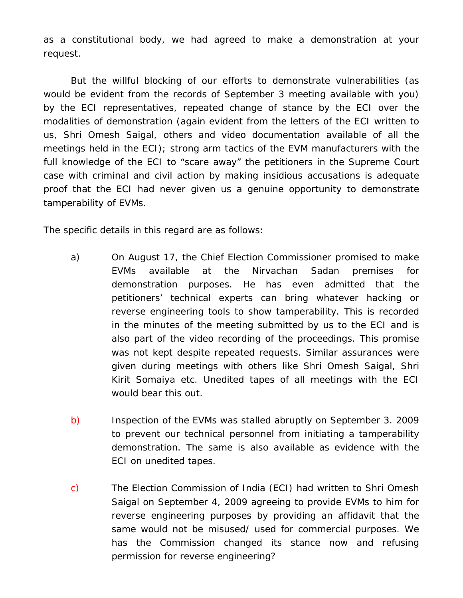as a constitutional body, we had agreed to make a demonstration at your request.

But the willful blocking of our efforts to demonstrate vulnerabilities (as would be evident from the records of September 3 meeting available with you) by the ECI representatives, repeated change of stance by the ECI over the modalities of demonstration (again evident from the letters of the ECI written to us, Shri Omesh Saigal, others and video documentation available of all the meetings held in the ECI); strong arm tactics of the EVM manufacturers with the full knowledge of the ECI to "scare away" the petitioners in the Supreme Court case with criminal and civil action by making insidious accusations is adequate proof that the ECI had never given us a genuine opportunity to demonstrate tamperability of EVMs.

The specific details in this regard are as follows:

- a) On August 17, the Chief Election Commissioner promised to make EVMs available at the Nirvachan Sadan premises for demonstration purposes. He has even admitted that the petitioners' technical experts can bring whatever hacking or reverse engineering tools to show tamperability. This is recorded in the minutes of the meeting submitted by us to the ECI and is also part of the video recording of the proceedings. This promise was not kept despite repeated requests. Similar assurances were given during meetings with others like Shri Omesh Saigal, Shri Kirit Somaiya etc. Unedited tapes of all meetings with the ECI would bear this out.
- b) Inspection of the EVMs was stalled abruptly on September 3. 2009 to prevent our technical personnel from initiating a tamperability demonstration. The same is also available as evidence with the ECI on unedited tapes.
- c) The Election Commission of India (ECI) had written to Shri Omesh Saigal on September 4, 2009 agreeing to provide EVMs to him for reverse engineering purposes by providing an affidavit that the same would not be misused/ used for commercial purposes. We has the Commission changed its stance now and refusing permission for reverse engineering?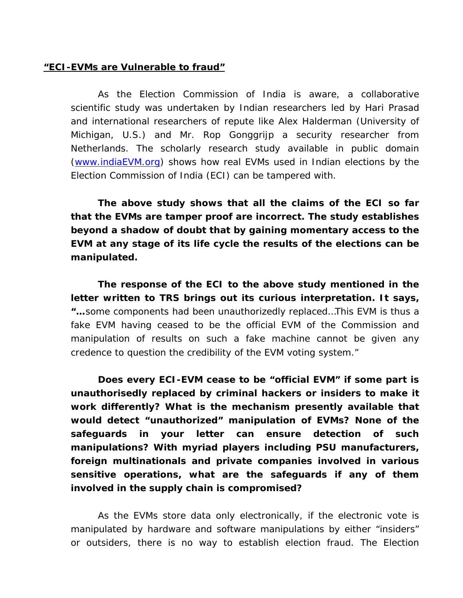### **"ECI-EVMs are Vulnerable to fraud"**

As the Election Commission of India is aware, a collaborative scientific study was undertaken by Indian researchers led by Hari Prasad and international researchers of repute like Alex Halderman (University of Michigan, U.S.) and Mr. Rop Gonggrijp a security researcher from Netherlands. The scholarly research study available in public domain (www.indiaEVM.org) shows how real EVMs used in Indian elections by the Election Commission of India (ECI) can be tampered with.

**The above study shows that all the claims of the ECI so far that the EVMs are tamper proof are incorrect. The study establishes beyond a shadow of doubt that by gaining momentary access to the EVM at any stage of its life cycle the results of the elections can be manipulated.** 

**The response of the ECI to the above study mentioned in the letter written to TRS brings out its curious interpretation. It says, "…**some components had been unauthorizedly replaced…This EVM is thus a fake EVM having ceased to be the official EVM of the Commission and manipulation of results on such a fake machine cannot be given any credence to question the credibility of the EVM voting system."

**Does every ECI-EVM cease to be "official EVM" if some part is unauthorisedly replaced by criminal hackers or insiders to make it work differently? What is the mechanism presently available that would detect "unauthorized" manipulation of EVMs? None of the safeguards in your letter can ensure detection of such manipulations? With myriad players including PSU manufacturers, foreign multinationals and private companies involved in various sensitive operations, what are the safeguards if any of them involved in the supply chain is compromised?** 

As the EVMs store data only electronically, if the electronic vote is manipulated by hardware and software manipulations by either "insiders" or outsiders, there is no way to establish election fraud. The Election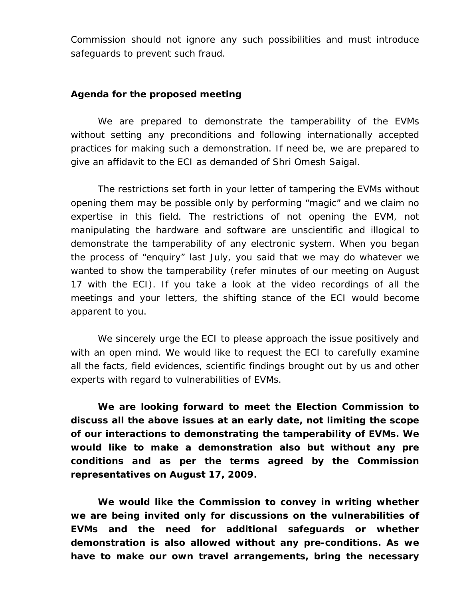Commission should not ignore any such possibilities and must introduce safeguards to prevent such fraud.

#### **Agenda for the proposed meeting**

We are prepared to demonstrate the tamperability of the EVMs without setting any preconditions and following internationally accepted practices for making such a demonstration. If need be, we are prepared to give an affidavit to the ECI as demanded of Shri Omesh Saigal.

The restrictions set forth in your letter of tampering the EVMs without opening them may be possible only by performing "magic" and we claim no expertise in this field. The restrictions of not opening the EVM, not manipulating the hardware and software are unscientific and illogical to demonstrate the tamperability of any electronic system. When you began the process of "enquiry" last July, you said that we may do whatever we wanted to show the tamperability (refer minutes of our meeting on August 17 with the ECI). If you take a look at the video recordings of all the meetings and your letters, the shifting stance of the ECI would become apparent to you.

We sincerely urge the ECI to please approach the issue positively and with an open mind. We would like to request the ECI to carefully examine all the facts, field evidences, scientific findings brought out by us and other experts with regard to vulnerabilities of EVMs.

**We are looking forward to meet the Election Commission to discuss all the above issues at an early date, not limiting the scope of our interactions to demonstrating the tamperability of EVMs. We would like to make a demonstration also but without any pre conditions and as per the terms agreed by the Commission representatives on August 17, 2009.** 

**We would like the Commission to convey in writing whether we are being invited only for discussions on the vulnerabilities of EVMs and the need for additional safeguards or whether demonstration is also allowed without any pre-conditions. As we have to make our own travel arrangements, bring the necessary**